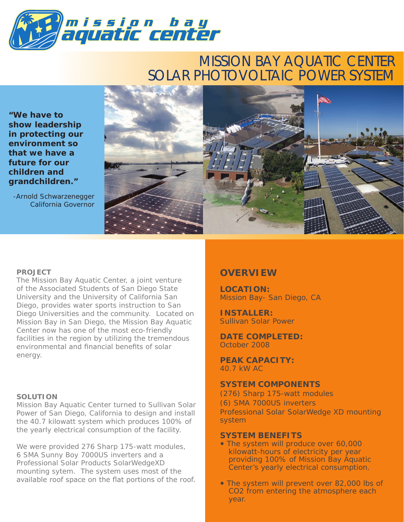

### MISSION BAY AQUATIC CENTER SOLAR PHOTOVOLTAIC POWER SYSTEM

**"We have to show leadership in protecting our environment so that we have a future for our children and grandchildren."**

-Arnold Schwarzenegger California Governor



#### **PROJECT**

The Mission Bay Aquatic Center, a joint venture of the Associated Students of San Diego State University and the University of California San Diego, provides water sports instruction to San Diego Universities and the community. Located on Mission Bay in San Diego, the Mission Bay Aquatic Center now has one of the most eco-friendly facilities in the region by utilizing the tremendous environmental and financial benefits of solar energy.

#### **SOLUTION**

Mission Bay Aquatic Center turned to Sullivan Solar Power of San Diego, California to design and install the 40.7 kilowatt system which produces 100% of the yearly electrical consumption of the facility.

We were provided 276 Sharp 175-watt modules, 6 SMA Sunny Boy 7000US inverters and a Professional Solar Products SolarWedgeXD mounting sytem. The system uses most of the available roof space on the flat portions of the roof.

#### **OVERVIEW**

**LOCATION:** Mission Bay- San Diego, CA

**INSTALLER:** Sullivan Solar Power

**DATE COMPLETED:** October 2008

**PEAK CAPACITY:** 40.7 kW AC

#### **SYSTEM COMPONENTS**

(276) Sharp 175-watt modules (6) SMA 7000US inverters Professional Solar SolarWedge XD mounting system

#### **SYSTEM BENEFITS**

- The system will produce over 60,000 kilowatt-hours of electricity per year providing 100% of Mission Bay Aquatic Center's yearly electrical consumption.
- The system will prevent over 82,000 lbs of CO2 from entering the atmosphere each year.